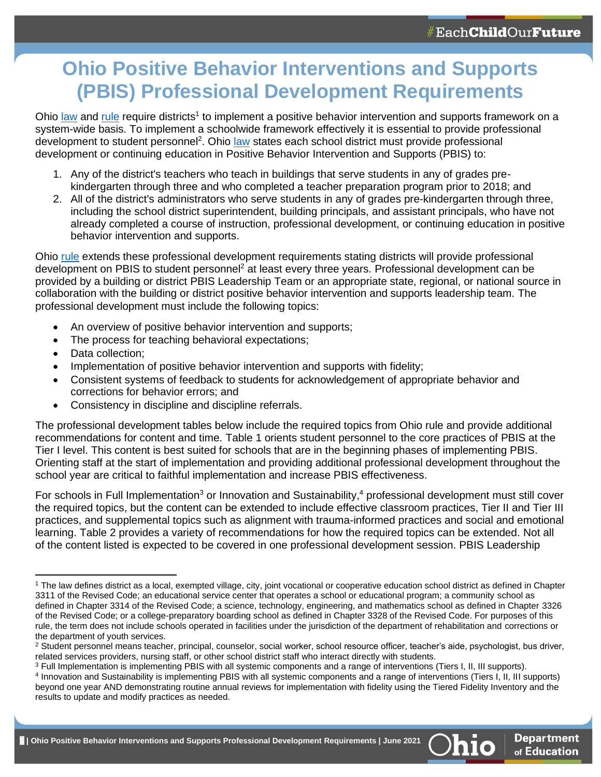# **Ohio Positive Behavior Interventions and Supports (PBIS) Professional Development Requirements**

Ohio [law](https://codes.ohio.gov/ohio-revised-code/section-3319.46#:~:text=Section%203319.46%20%7C%20Policy%20and%20rules,on%20students%3B%20duties%20of%20board.&text=(A)(1)%20The%20state,adopt%20rules%20under%20Chapter%20119.) and [rule](https://codes.ohio.gov/ohio-administrative-code/rule-3301-35-15) require districts<sup>1</sup> to implement a positive behavior intervention and supports framework on a system-wide basis. To implement a schoolwide framework effectively it is essential to provide professional development to student personnel<sup>2</sup>. Ohio [law](https://codes.ohio.gov/ohio-revised-code/section-3319.237#:~:text=Section%203319.237%20%7C%20Courses%20to%20teach,5%3B%20curriculum%3B%20continuing%20education.&text=(6)%20Matching%20curriculum%20to%20student,environmental%20variables%20on%20learning%20behavior.) states each school district must provide professional development or continuing education in Positive Behavior Intervention and Supports (PBIS) to:

- 1. Any of the district's teachers who teach in buildings that serve students in any of grades prekindergarten through three and who completed a teacher preparation program prior to 2018; and
- 2. All of the district's administrators who serve students in any of grades pre-kindergarten through three, including the school district superintendent, building principals, and assistant principals, who have not already completed a course of instruction, professional development, or continuing education in positive behavior intervention and supports.

Ohio [rule](https://codes.ohio.gov/ohio-administrative-code/rule-3301-35-15#:~:text=Rule%203301%2D35%2D15%20%7C,use%20of%20restraint%20and%20seclusion.&text=(e)%20To%20prevent%20an%20impulsive,in%20front%20of%20a%20car).) extends these professional development requirements stating districts will provide professional development on PBIS to student personnel<sup>2</sup> at least every three years. Professional development can be provided by a building or district PBIS Leadership Team or an appropriate state, regional, or national source in collaboration with the building or district positive behavior intervention and supports leadership team. The professional development must include the following topics:

- An overview of positive behavior intervention and supports;
- The process for teaching behavioral expectations;
- Data collection:
- Implementation of positive behavior intervention and supports with fidelity;
- Consistent systems of feedback to students for acknowledgement of appropriate behavior and corrections for behavior errors; and
- Consistency in discipline and discipline referrals.

The professional development tables below include the required topics from Ohio rule and provide additional recommendations for content and time. Table 1 orients student personnel to the core practices of PBIS at the Tier I level. This content is best suited for schools that are in the beginning phases of implementing PBIS. Orienting staff at the start of implementation and providing additional professional development throughout the school year are critical to faithful implementation and increase PBIS effectiveness.

For schools in Full Implementation<sup>3</sup> or Innovation and Sustainability,<sup>4</sup> professional development must still cover the required topics, but the content can be extended to include effective classroom practices, Tier II and Tier III practices, and supplemental topics such as alignment with trauma-informed practices and social and emotional learning. Table 2 provides a variety of recommendations for how the required topics can be extended. Not all of the content listed is expected to be covered in one professional development session. PBIS Leadership



<sup>1</sup> The law defines district as a local, exempted village, city, joint vocational or cooperative education school district as defined in Chapter 3311 of the Revised Code; an educational service center that operates a school or educational program; a community school as defined in Chapter 3314 of the Revised Code; a science, technology, engineering, and mathematics school as defined in Chapter 3326 of the Revised Code; or a college-preparatory boarding school as defined in Chapter 3328 of the Revised Code. For purposes of this rule, the term does not include schools operated in facilities under the jurisdiction of the department of rehabilitation and corrections or the department of youth services.

<sup>&</sup>lt;sup>2</sup> Student personnel means teacher, principal, counselor, social worker, school resource officer, teacher's aide, psychologist, bus driver, related services providers, nursing staff, or other school district staff who interact directly with students.

<sup>&</sup>lt;sup>3</sup> Full Implementation is implementing PBIS with all systemic components and a range of interventions (Tiers I, II, III supports).

<sup>4</sup> Innovation and Sustainability is implementing PBIS with all systemic components and a range of interventions (Tiers I, II, III supports) beyond one year AND demonstrating routine annual reviews for implementation with fidelity using the Tiered Fidelity Inventory and the results to update and modify practices as needed.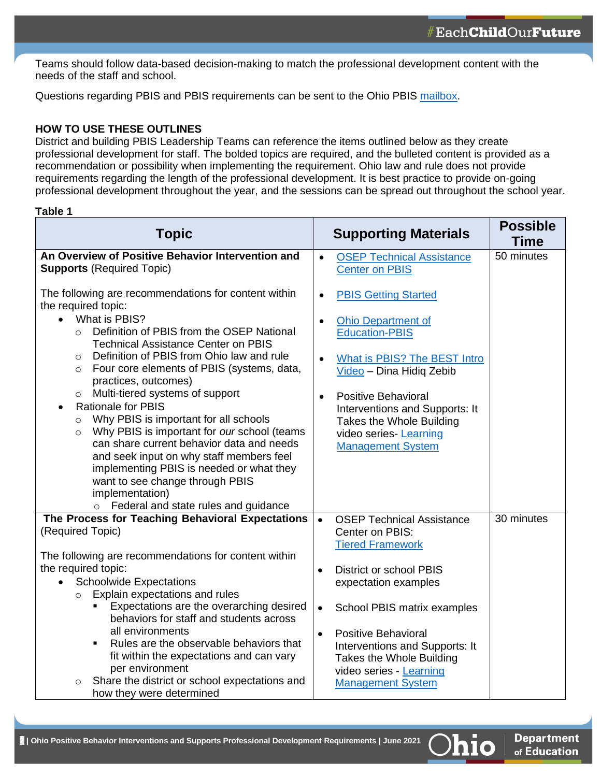Teams should follow data-based decision-making to match the professional development content with the needs of the staff and school.

Questions regarding PBIS and PBIS requirements can be sent to the Ohio PBIS [mailbox.](mailto:pbisohio@education.ohio.gov)

#### **HOW TO USE THESE OUTLINES**

District and building PBIS Leadership Teams can reference the items outlined below as they create professional development for staff. The bolded topics are required, and the bulleted content is provided as a recommendation or possibility when implementing the requirement. Ohio law and rule does not provide requirements regarding the length of the professional development. It is best practice to provide on-going professional development throughout the year, and the sessions can be spread out throughout the school year.

#### **Table 1**

| <b>Topic</b>                                                                                                                                                                                                                                                                                                                                                                                                                                                                                                                                                                                                                                                                                                                                                                                        | <b>Supporting Materials</b>                                                                                                                                                                                                                                                                                                            | <b>Possible</b><br><b>Time</b> |
|-----------------------------------------------------------------------------------------------------------------------------------------------------------------------------------------------------------------------------------------------------------------------------------------------------------------------------------------------------------------------------------------------------------------------------------------------------------------------------------------------------------------------------------------------------------------------------------------------------------------------------------------------------------------------------------------------------------------------------------------------------------------------------------------------------|----------------------------------------------------------------------------------------------------------------------------------------------------------------------------------------------------------------------------------------------------------------------------------------------------------------------------------------|--------------------------------|
| An Overview of Positive Behavior Intervention and<br><b>Supports (Required Topic)</b>                                                                                                                                                                                                                                                                                                                                                                                                                                                                                                                                                                                                                                                                                                               | <b>OSEP Technical Assistance</b><br>$\bullet$<br><b>Center on PBIS</b>                                                                                                                                                                                                                                                                 | 50 minutes                     |
| The following are recommendations for content within<br>the required topic:<br>What is PBIS?<br>$\bullet$<br>Definition of PBIS from the OSEP National<br>$\circ$<br><b>Technical Assistance Center on PBIS</b><br>Definition of PBIS from Ohio law and rule<br>$\circ$<br>Four core elements of PBIS (systems, data,<br>$\circ$<br>practices, outcomes)<br>Multi-tiered systems of support<br>$\circ$<br><b>Rationale for PBIS</b><br>$\bullet$<br>Why PBIS is important for all schools<br>$\circ$<br>Why PBIS is important for our school (teams<br>$\circ$<br>can share current behavior data and needs<br>and seek input on why staff members feel<br>implementing PBIS is needed or what they<br>want to see change through PBIS<br>implementation)<br>o Federal and state rules and guidance | <b>PBIS Getting Started</b><br>$\bullet$<br><b>Ohio Department of</b><br><b>Education-PBIS</b><br>What is PBIS? The BEST Intro<br>$\bullet$<br>Video - Dina Hidiq Zebib<br><b>Positive Behavioral</b><br>$\bullet$<br>Interventions and Supports: It<br>Takes the Whole Building<br>video series- Learning<br><b>Management System</b> |                                |
| The Process for Teaching Behavioral Expectations<br>(Required Topic)                                                                                                                                                                                                                                                                                                                                                                                                                                                                                                                                                                                                                                                                                                                                | <b>OSEP Technical Assistance</b><br>$\bullet$<br>Center on PBIS:<br><b>Tiered Framework</b>                                                                                                                                                                                                                                            | 30 minutes                     |
| The following are recommendations for content within<br>the required topic:<br><b>Schoolwide Expectations</b><br>$\bullet$<br>Explain expectations and rules<br>$\circ$<br>Expectations are the overarching desired<br>٠<br>behaviors for staff and students across<br>all environments<br>Rules are the observable behaviors that<br>$\blacksquare$<br>fit within the expectations and can vary<br>per environment<br>Share the district or school expectations and<br>$\circ$<br>how they were determined                                                                                                                                                                                                                                                                                         | <b>District or school PBIS</b><br>$\bullet$<br>expectation examples<br>School PBIS matrix examples<br>$\bullet$<br><b>Positive Behavioral</b><br>$\bullet$<br>Interventions and Supports: It<br>Takes the Whole Building<br>video series - Learning<br><b>Management System</b>                                                        |                                |

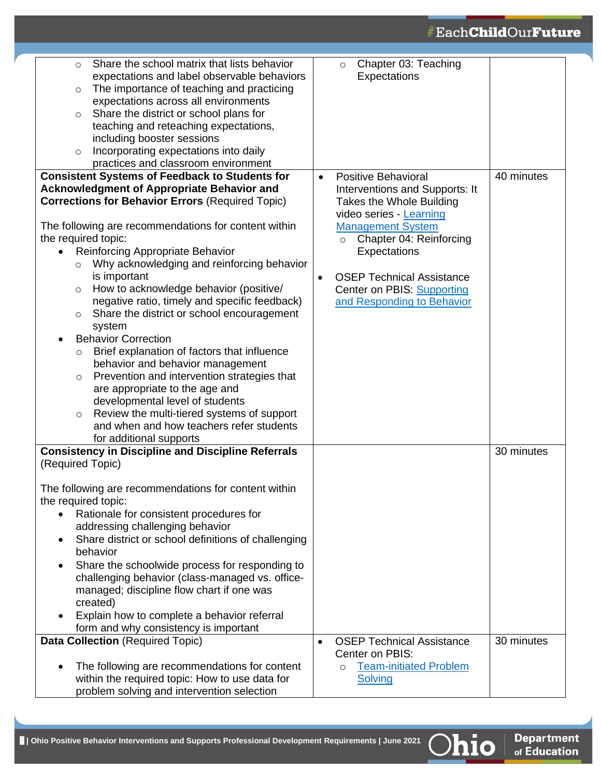## #Each**Child**Our**Future**

| Share the school matrix that lists behavior<br>$\circ$                                                       | Chapter 03: Teaching<br>$\circ$                            |            |
|--------------------------------------------------------------------------------------------------------------|------------------------------------------------------------|------------|
| expectations and label observable behaviors                                                                  | Expectations                                               |            |
| The importance of teaching and practicing<br>$\circ$                                                         |                                                            |            |
| expectations across all environments                                                                         |                                                            |            |
| Share the district or school plans for<br>$\circ$                                                            |                                                            |            |
| teaching and reteaching expectations,                                                                        |                                                            |            |
| including booster sessions                                                                                   |                                                            |            |
| Incorporating expectations into daily<br>$\circ$                                                             |                                                            |            |
| practices and classroom environment                                                                          |                                                            |            |
| <b>Consistent Systems of Feedback to Students for</b>                                                        | <b>Positive Behavioral</b><br>$\bullet$                    | 40 minutes |
| <b>Acknowledgment of Appropriate Behavior and</b>                                                            | Interventions and Supports: It                             |            |
| <b>Corrections for Behavior Errors (Required Topic)</b>                                                      | Takes the Whole Building                                   |            |
|                                                                                                              | video series - Learning                                    |            |
| The following are recommendations for content within                                                         | <b>Management System</b>                                   |            |
| the required topic:                                                                                          | Chapter 04: Reinforcing<br>$\circ$                         |            |
| Reinforcing Appropriate Behavior<br>$\bullet$                                                                | Expectations                                               |            |
| Why acknowledging and reinforcing behavior<br>$\circ$                                                        |                                                            |            |
| is important                                                                                                 | <b>OSEP Technical Assistance</b><br>$\bullet$              |            |
| How to acknowledge behavior (positive/<br>$\circ$                                                            | <b>Center on PBIS: Supporting</b>                          |            |
| negative ratio, timely and specific feedback)                                                                | and Responding to Behavior                                 |            |
| Share the district or school encouragement<br>$\circ$                                                        |                                                            |            |
| system                                                                                                       |                                                            |            |
| <b>Behavior Correction</b><br>$\bullet$                                                                      |                                                            |            |
| Brief explanation of factors that influence<br>$\circ$                                                       |                                                            |            |
| behavior and behavior management                                                                             |                                                            |            |
| Prevention and intervention strategies that<br>$\circ$                                                       |                                                            |            |
| are appropriate to the age and                                                                               |                                                            |            |
| developmental level of students                                                                              |                                                            |            |
| Review the multi-tiered systems of support<br>$\circ$                                                        |                                                            |            |
| and when and how teachers refer students                                                                     |                                                            |            |
| for additional supports                                                                                      |                                                            |            |
| <b>Consistency in Discipline and Discipline Referrals</b>                                                    |                                                            | 30 minutes |
| (Required Topic)                                                                                             |                                                            |            |
|                                                                                                              |                                                            |            |
| The following are recommendations for content within                                                         |                                                            |            |
| the required topic:                                                                                          |                                                            |            |
| Rationale for consistent procedures for<br>$\bullet$                                                         |                                                            |            |
| addressing challenging behavior                                                                              |                                                            |            |
| Share district or school definitions of challenging<br>$\bullet$                                             |                                                            |            |
| behavior                                                                                                     |                                                            |            |
| Share the schoolwide process for responding to<br>$\bullet$                                                  |                                                            |            |
| challenging behavior (class-managed vs. office-                                                              |                                                            |            |
| managed; discipline flow chart if one was                                                                    |                                                            |            |
| created)                                                                                                     |                                                            |            |
| Explain how to complete a behavior referral<br>$\bullet$                                                     |                                                            |            |
| form and why consistency is important                                                                        |                                                            |            |
| <b>Data Collection (Required Topic)</b>                                                                      | <b>OSEP Technical Assistance</b>                           | 30 minutes |
|                                                                                                              | Center on PBIS:                                            |            |
| The following are recommendations for content<br>$\bullet$<br>within the required topic: How to use data for | <b>Team-initiated Problem</b><br>$\circ$<br><b>Solving</b> |            |
| problem solving and intervention selection                                                                   |                                                            |            |
|                                                                                                              |                                                            |            |

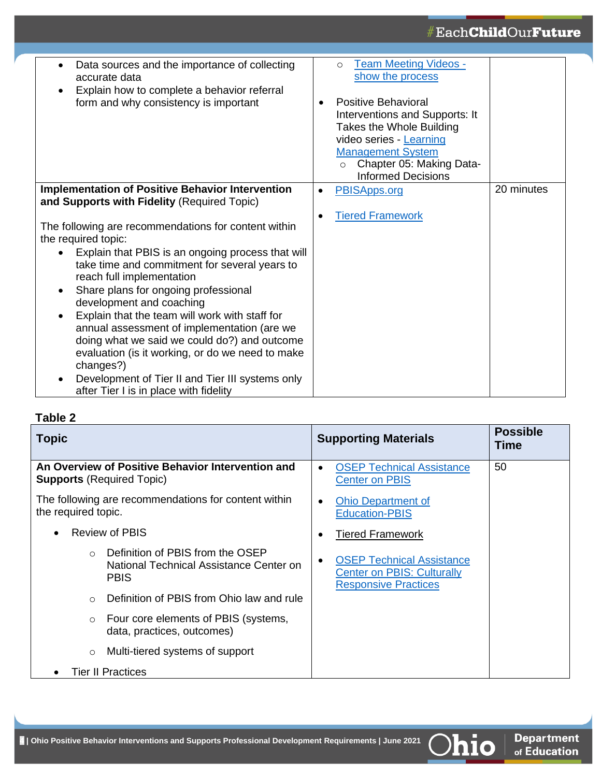## #Each**Child**Our**Future**

| Data sources and the importance of collecting<br>$\bullet$<br>accurate data<br>Explain how to complete a behavior referral<br>form and why consistency is important                                                                                                                                                                                                                                                                                                                                                                                                                                                          | <b>Team Meeting Videos -</b><br>$\circ$<br>show the process<br><b>Positive Behavioral</b><br>$\bullet$<br>Interventions and Supports: It<br>Takes the Whole Building<br>video series - Learning<br><b>Management System</b><br>Chapter 05: Making Data-<br>$\circ$<br><b>Informed Decisions</b> |            |
|------------------------------------------------------------------------------------------------------------------------------------------------------------------------------------------------------------------------------------------------------------------------------------------------------------------------------------------------------------------------------------------------------------------------------------------------------------------------------------------------------------------------------------------------------------------------------------------------------------------------------|-------------------------------------------------------------------------------------------------------------------------------------------------------------------------------------------------------------------------------------------------------------------------------------------------|------------|
| <b>Implementation of Positive Behavior Intervention</b><br>and Supports with Fidelity (Required Topic)                                                                                                                                                                                                                                                                                                                                                                                                                                                                                                                       | PBISApps.org<br>$\bullet$<br><b>Tiered Framework</b><br>$\bullet$                                                                                                                                                                                                                               | 20 minutes |
| The following are recommendations for content within<br>the required topic:<br>Explain that PBIS is an ongoing process that will<br>take time and commitment for several years to<br>reach full implementation<br>Share plans for ongoing professional<br>$\bullet$<br>development and coaching<br>Explain that the team will work with staff for<br>$\bullet$<br>annual assessment of implementation (are we<br>doing what we said we could do?) and outcome<br>evaluation (is it working, or do we need to make<br>changes?)<br>Development of Tier II and Tier III systems only<br>after Tier I is in place with fidelity |                                                                                                                                                                                                                                                                                                 |            |

### **Table 2**

| <b>Topic</b>             |                                                                                            | <b>Supporting Materials</b>                                                                                       | <b>Possible</b><br>Time |
|--------------------------|--------------------------------------------------------------------------------------------|-------------------------------------------------------------------------------------------------------------------|-------------------------|
|                          | An Overview of Positive Behavior Intervention and<br><b>Supports (Required Topic)</b>      | <b>OSEP Technical Assistance</b><br>$\bullet$<br><b>Center on PBIS</b>                                            | 50                      |
| the required topic.      | The following are recommendations for content within                                       | <b>Ohio Department of</b><br>$\bullet$<br><b>Education-PBIS</b>                                                   |                         |
|                          | <b>Review of PBIS</b>                                                                      | <b>Tiered Framework</b><br>$\bullet$                                                                              |                         |
| $\Omega$                 | Definition of PBIS from the OSEP<br>National Technical Assistance Center on<br><b>PBIS</b> | <b>OSEP Technical Assistance</b><br>$\bullet$<br><b>Center on PBIS: Culturally</b><br><b>Responsive Practices</b> |                         |
| $\bigcirc$               | Definition of PBIS from Ohio law and rule                                                  |                                                                                                                   |                         |
| $\circ$                  | Four core elements of PBIS (systems,<br>data, practices, outcomes)                         |                                                                                                                   |                         |
| $\circ$                  | Multi-tiered systems of support                                                            |                                                                                                                   |                         |
| <b>Tier II Practices</b> |                                                                                            |                                                                                                                   |                         |



Ohio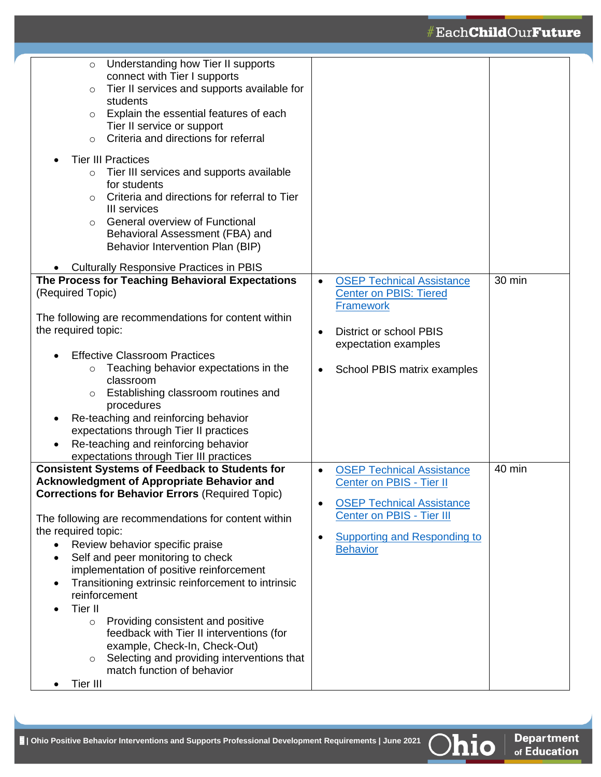| Understanding how Tier II supports<br>$\circ$<br>connect with Tier I supports<br>Tier II services and supports available for<br>$\circ$<br>students<br>Explain the essential features of each<br>$\circ$<br>Tier II service or support<br>Criteria and directions for referral<br>$\circ$<br><b>Tier III Practices</b><br>Tier III services and supports available<br>$\circ$<br>for students<br>Criteria and directions for referral to Tier<br>$\circ$<br>III services<br>General overview of Functional<br>$\Omega$<br>Behavioral Assessment (FBA) and<br>Behavior Intervention Plan (BIP)<br><b>Culturally Responsive Practices in PBIS</b><br>The Process for Teaching Behavioral Expectations<br>(Required Topic)<br>The following are recommendations for content within<br>the required topic:<br><b>Effective Classroom Practices</b><br>Teaching behavior expectations in the<br>$\circ$<br>classroom<br>Establishing classroom routines and<br>$\circ$<br>procedures<br>Re-teaching and reinforcing behavior<br>٠<br>expectations through Tier II practices<br>Re-teaching and reinforcing behavior<br>$\bullet$ | <b>OSEP Technical Assistance</b><br>$\bullet$<br><b>Center on PBIS: Tiered</b><br><b>Framework</b><br><b>District or school PBIS</b><br>$\bullet$<br>expectation examples<br>School PBIS matrix examples<br>$\bullet$          | 30 min |
|-----------------------------------------------------------------------------------------------------------------------------------------------------------------------------------------------------------------------------------------------------------------------------------------------------------------------------------------------------------------------------------------------------------------------------------------------------------------------------------------------------------------------------------------------------------------------------------------------------------------------------------------------------------------------------------------------------------------------------------------------------------------------------------------------------------------------------------------------------------------------------------------------------------------------------------------------------------------------------------------------------------------------------------------------------------------------------------------------------------------------------|--------------------------------------------------------------------------------------------------------------------------------------------------------------------------------------------------------------------------------|--------|
| expectations through Tier III practices<br><b>Consistent Systems of Feedback to Students for</b><br><b>Acknowledgment of Appropriate Behavior and</b><br><b>Corrections for Behavior Errors (Required Topic)</b><br>The following are recommendations for content within<br>the required topic:<br>Review behavior specific praise<br>Self and peer monitoring to check<br>implementation of positive reinforcement<br>Transitioning extrinsic reinforcement to intrinsic<br>٠<br>reinforcement<br>Tier II<br>$\bullet$<br>Providing consistent and positive<br>$\circ$<br>feedback with Tier II interventions (for<br>example, Check-In, Check-Out)<br>Selecting and providing interventions that<br>$\circ$<br>match function of behavior<br>Tier III                                                                                                                                                                                                                                                                                                                                                                     | <b>OSEP Technical Assistance</b><br>$\bullet$<br>Center on PBIS - Tier II<br><b>OSEP Technical Assistance</b><br>$\bullet$<br>Center on PBIS - Tier III<br><b>Supporting and Responding to</b><br>$\bullet$<br><b>Behavior</b> | 40 min |